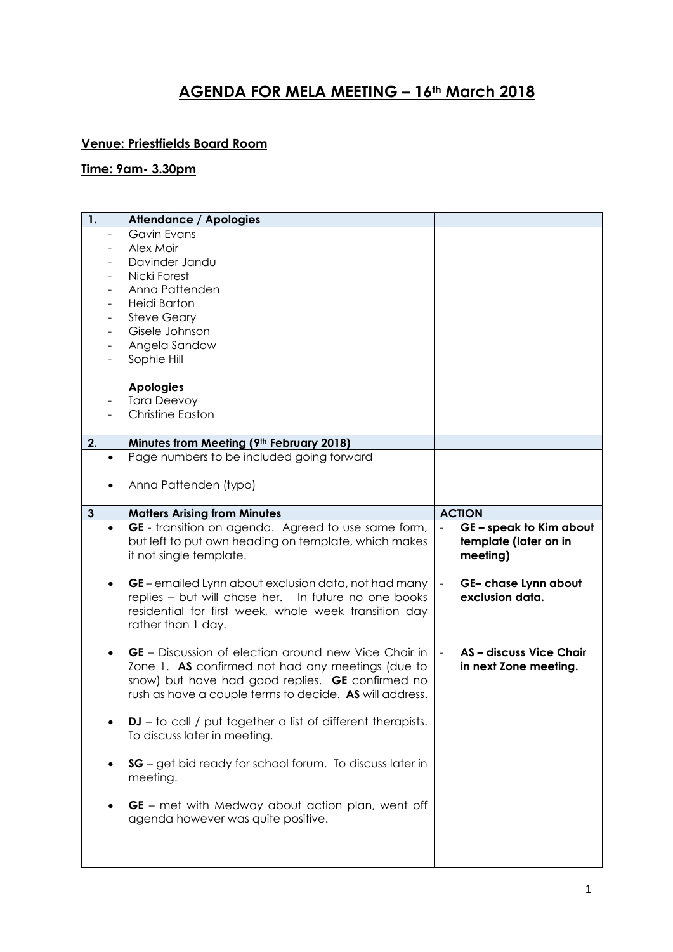## **AGENDA FOR MELA MEETING – 16th March 2018**

## **Venue: Priestfields Board Room**

## **Time: 9am- 3.30pm**

| 1. |           | <b>Attendance / Apologies</b>                                                                                                                                                                                                   |                                                                  |
|----|-----------|---------------------------------------------------------------------------------------------------------------------------------------------------------------------------------------------------------------------------------|------------------------------------------------------------------|
|    |           | <b>Gavin Evans</b>                                                                                                                                                                                                              |                                                                  |
|    |           | Alex Moir                                                                                                                                                                                                                       |                                                                  |
|    |           | Davinder Jandu                                                                                                                                                                                                                  |                                                                  |
|    |           | Nicki Forest                                                                                                                                                                                                                    |                                                                  |
|    |           | Anna Pattenden                                                                                                                                                                                                                  |                                                                  |
|    |           | Heidi Barton                                                                                                                                                                                                                    |                                                                  |
|    |           | <b>Steve Geary</b>                                                                                                                                                                                                              |                                                                  |
|    |           | Gisele Johnson                                                                                                                                                                                                                  |                                                                  |
|    |           | Angela Sandow                                                                                                                                                                                                                   |                                                                  |
|    |           | Sophie Hill                                                                                                                                                                                                                     |                                                                  |
|    |           |                                                                                                                                                                                                                                 |                                                                  |
|    |           | <b>Apologies</b>                                                                                                                                                                                                                |                                                                  |
|    |           | <b>Tara Deevoy</b>                                                                                                                                                                                                              |                                                                  |
|    |           | <b>Christine Easton</b>                                                                                                                                                                                                         |                                                                  |
|    |           |                                                                                                                                                                                                                                 |                                                                  |
| 2. |           | Minutes from Meeting (9th February 2018)                                                                                                                                                                                        |                                                                  |
|    | $\bullet$ | Page numbers to be included going forward                                                                                                                                                                                       |                                                                  |
|    |           |                                                                                                                                                                                                                                 |                                                                  |
|    |           | Anna Pattenden (typo)                                                                                                                                                                                                           |                                                                  |
|    |           |                                                                                                                                                                                                                                 |                                                                  |
| 3  |           | <b>Matters Arising from Minutes</b>                                                                                                                                                                                             | <b>ACTION</b>                                                    |
|    | $\bullet$ | GE - transition on agenda. Agreed to use same form,<br>but left to put own heading on template, which makes<br>it not single template.                                                                                          | GE - speak to Kim about<br>template (later on in<br>meeting)     |
|    |           | GE – emailed Lynn about exclusion data, not had many<br>replies - but will chase her. In future no one books<br>residential for first week, whole week transition day<br>rather than 1 day.                                     | GE- chase Lynn about<br>$\blacksquare$<br>exclusion data.        |
|    |           | <b>GE</b> – Discussion of election around new Vice Chair in<br>Zone 1. AS confirmed not had any meetings (due to<br>snow) but have had good replies. GE confirmed no<br>rush as have a couple terms to decide. AS will address. | AS-discuss Vice Chair<br>$\blacksquare$<br>in next Zone meeting. |
|    |           | DJ - to call / put together a list of different therapists.<br>To discuss later in meeting.                                                                                                                                     |                                                                  |
|    | $\bullet$ | SG - get bid ready for school forum. To discuss later in<br>meeting.                                                                                                                                                            |                                                                  |
|    | $\bullet$ | GE - met with Medway about action plan, went off<br>agenda however was quite positive.                                                                                                                                          |                                                                  |
|    |           |                                                                                                                                                                                                                                 |                                                                  |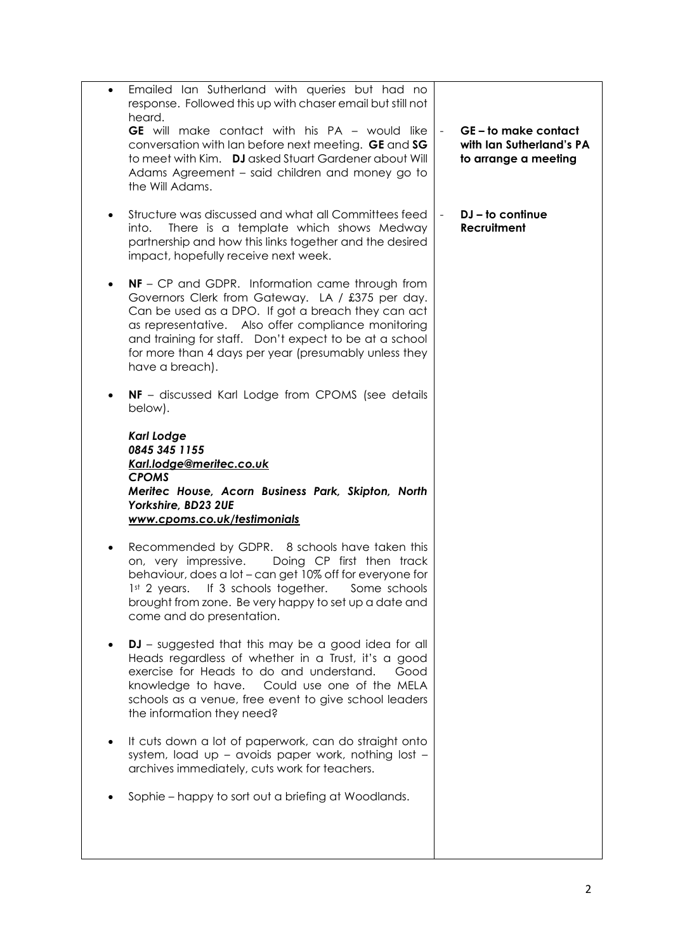| Emailed Ian Sutherland with queries but had no<br>$\bullet$<br>response. Followed this up with chaser email but still not<br>heard.<br><b>GE</b> will make contact with his PA - would like<br>conversation with lan before next meeting. GE and SG<br>to meet with Kim. DJ asked Stuart Gardener about Will<br>Adams Agreement - said children and money go to<br>the Will Adams. | $\blacksquare$ | GE-to make contact<br>with Ian Sutherland's PA<br>to arrange a meeting |
|------------------------------------------------------------------------------------------------------------------------------------------------------------------------------------------------------------------------------------------------------------------------------------------------------------------------------------------------------------------------------------|----------------|------------------------------------------------------------------------|
| Structure was discussed and what all Committees feed<br>$\bullet$<br>There is a template which shows Medway<br>into.<br>partnership and how this links together and the desired<br>impact, hopefully receive next week.                                                                                                                                                            |                | $DJ - to continue$<br><b>Recruitment</b>                               |
| <b>NF</b> - CP and GDPR. Information came through from<br>Governors Clerk from Gateway. LA / £375 per day.<br>Can be used as a DPO. If got a breach they can act<br>as representative. Also offer compliance monitoring<br>and training for staff. Don't expect to be at a school<br>for more than 4 days per year (presumably unless they<br>have a breach).                      |                |                                                                        |
| NF - discussed Karl Lodge from CPOMS (see details<br>$\bullet$<br>below).                                                                                                                                                                                                                                                                                                          |                |                                                                        |
| <b>Karl Lodge</b><br>0845 345 1155<br>Karl.lodge@meritec.co.uk<br><b>CPOMS</b><br>Meritec House, Acorn Business Park, Skipton, North<br>Yorkshire, BD23 2UE<br>www.cpoms.co.uk/testimonials                                                                                                                                                                                        |                |                                                                        |
| Recommended by GDPR. 8 schools have taken this<br>$\bullet$<br>Doing CP first then track<br>on, very impressive.<br>behaviour, does a lot - can get 10% off for everyone for<br>1st 2 years. If 3 schools together. Some schools<br>brought from zone. Be very happy to set up a date and<br>come and do presentation.                                                             |                |                                                                        |
| <b>DJ</b> – suggested that this may be a good idea for all<br>Heads regardless of whether in a Trust, it's a good<br>exercise for Heads to do and understand.<br>Good<br>knowledge to have. Could use one of the MELA<br>schools as a venue, free event to give school leaders<br>the information they need?                                                                       |                |                                                                        |
| It cuts down a lot of paperwork, can do straight onto<br>system, load up - avoids paper work, nothing lost -<br>archives immediately, cuts work for teachers.                                                                                                                                                                                                                      |                |                                                                        |
| Sophie – happy to sort out a briefing at Woodlands.                                                                                                                                                                                                                                                                                                                                |                |                                                                        |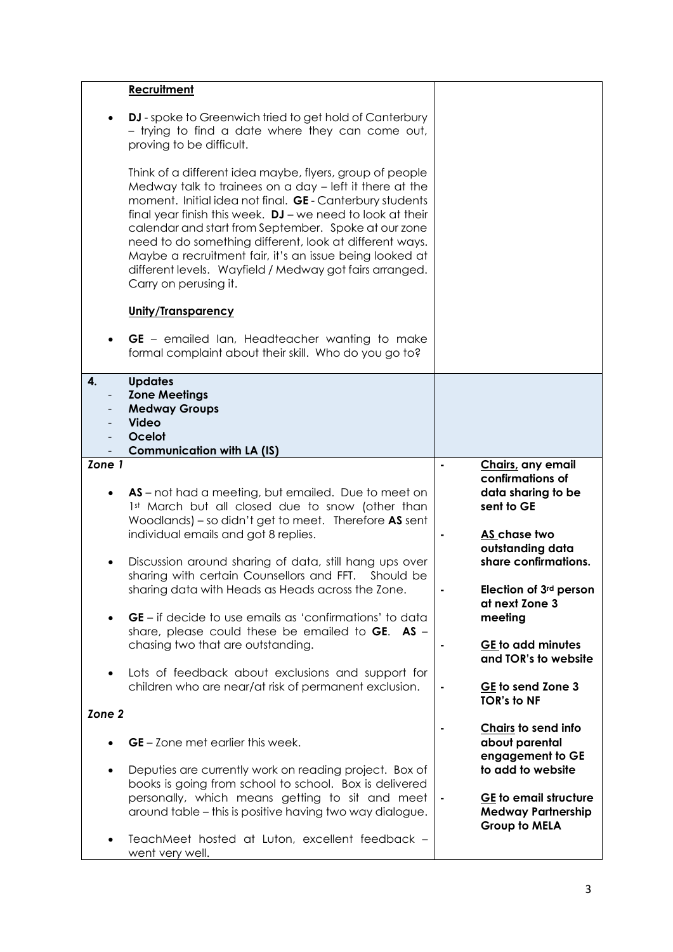|                   | Recruitment                                                                                                                                                                                                                                                                                                                                                                                                                                                                                                       |                                                                                                                                                                         |  |
|-------------------|-------------------------------------------------------------------------------------------------------------------------------------------------------------------------------------------------------------------------------------------------------------------------------------------------------------------------------------------------------------------------------------------------------------------------------------------------------------------------------------------------------------------|-------------------------------------------------------------------------------------------------------------------------------------------------------------------------|--|
|                   | DJ - spoke to Greenwich tried to get hold of Canterbury<br>- trying to find a date where they can come out,<br>proving to be difficult.                                                                                                                                                                                                                                                                                                                                                                           |                                                                                                                                                                         |  |
|                   | Think of a different idea maybe, flyers, group of people<br>Medway talk to trainees on a day - left it there at the<br>moment. Initial idea not final. GE - Canterbury students<br>final year finish this week. $DJ$ - we need to look at their<br>calendar and start from September. Spoke at our zone<br>need to do something different, look at different ways.<br>Maybe a recruitment fair, it's an issue being looked at<br>different levels. Wayfield / Medway got fairs arranged.<br>Carry on perusing it. |                                                                                                                                                                         |  |
|                   | Unity/Transparency                                                                                                                                                                                                                                                                                                                                                                                                                                                                                                |                                                                                                                                                                         |  |
|                   | GE - emailed lan, Headteacher wanting to make<br>formal complaint about their skill. Who do you go to?                                                                                                                                                                                                                                                                                                                                                                                                            |                                                                                                                                                                         |  |
| 4.                | <b>Updates</b><br><b>Zone Meetings</b><br><b>Medway Groups</b><br><b>Video</b><br>Ocelot<br><b>Communication with LA (IS)</b>                                                                                                                                                                                                                                                                                                                                                                                     |                                                                                                                                                                         |  |
| Zone 1            |                                                                                                                                                                                                                                                                                                                                                                                                                                                                                                                   | Chairs, any email                                                                                                                                                       |  |
|                   | AS – not had a meeting, but emailed. Due to meet on<br>1st March but all closed due to snow (other than<br>Woodlands) – so didn't get to meet. Therefore AS sent<br>individual emails and got 8 replies.<br>Discussion around sharing of data, still hang ups over<br>sharing with certain Counsellors and FFT. Should be<br>sharing data with Heads as Heads across the Zone.<br><b>GE</b> – if decide to use emails as 'confirmations' to data                                                                  | confirmations of<br>data sharing to be<br>sent to GE<br>AS chase two<br>outstanding data<br>share confirmations.<br>Election of 3rd person<br>at next Zone 3<br>meeting |  |
|                   | share, please could these be emailed to $GE.$ AS -<br>chasing two that are outstanding.                                                                                                                                                                                                                                                                                                                                                                                                                           | GE to add minutes<br>and TOR's to website                                                                                                                               |  |
| $\bullet$         | Lots of feedback about exclusions and support for<br>children who are near/at risk of permanent exclusion.                                                                                                                                                                                                                                                                                                                                                                                                        | GE to send Zone 3<br><b>TOR's to NF</b>                                                                                                                                 |  |
| Zone <sub>2</sub> |                                                                                                                                                                                                                                                                                                                                                                                                                                                                                                                   |                                                                                                                                                                         |  |
|                   | <b>GE</b> – Zone met earlier this week.<br>Deputies are currently work on reading project. Box of                                                                                                                                                                                                                                                                                                                                                                                                                 | Chairs to send info<br>about parental<br>engagement to GE<br>to add to website                                                                                          |  |
|                   | books is going from school to school. Box is delivered<br>personally, which means getting to sit and meet<br>around table - this is positive having two way dialogue.                                                                                                                                                                                                                                                                                                                                             | GE to email structure<br><b>Medway Partnership</b><br>Group to MELA                                                                                                     |  |
|                   | TeachMeet hosted at Luton, excellent feedback -<br>went very well.                                                                                                                                                                                                                                                                                                                                                                                                                                                |                                                                                                                                                                         |  |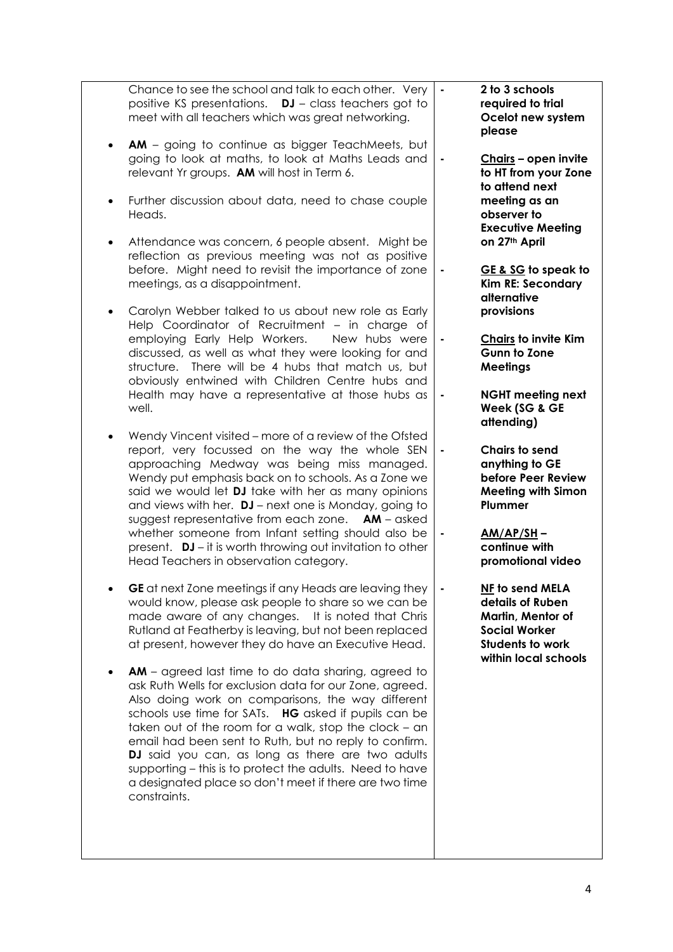| Chance to see the school and talk to each other. Very<br>positive KS presentations. $DJ - class$ teachers got to<br>meet with all teachers which was great networking.                                                                                                                                                                                                                                                                                                                                                                         | 2 to 3 schools<br>$\blacksquare$<br>required to trial<br>Ocelot new system<br>please                                                |
|------------------------------------------------------------------------------------------------------------------------------------------------------------------------------------------------------------------------------------------------------------------------------------------------------------------------------------------------------------------------------------------------------------------------------------------------------------------------------------------------------------------------------------------------|-------------------------------------------------------------------------------------------------------------------------------------|
| <b>AM</b> - going to continue as bigger TeachMeets, but<br>going to look at maths, to look at Maths Leads and<br>relevant Yr groups. AM will host in Term 6.                                                                                                                                                                                                                                                                                                                                                                                   | Chairs - open invite<br>٠<br>to HT from your Zone<br>to attend next                                                                 |
| Further discussion about data, need to chase couple<br>$\bullet$<br>Heads.                                                                                                                                                                                                                                                                                                                                                                                                                                                                     | meeting as an<br>observer to<br><b>Executive Meeting</b>                                                                            |
| Attendance was concern, 6 people absent. Might be<br>$\bullet$<br>reflection as previous meeting was not as positive<br>before. Might need to revisit the importance of zone<br>meetings, as a disappointment.                                                                                                                                                                                                                                                                                                                                 | on 27th April<br>GE & SG to speak to<br>Kim RE: Secondary                                                                           |
| Carolyn Webber talked to us about new role as Early<br>$\bullet$<br>Help Coordinator of Recruitment - in charge of                                                                                                                                                                                                                                                                                                                                                                                                                             | alternative<br>provisions                                                                                                           |
| employing Early Help Workers.<br>New hubs were<br>discussed, as well as what they were looking for and<br>structure. There will be 4 hubs that match us, but<br>obviously entwined with Children Centre hubs and                                                                                                                                                                                                                                                                                                                               | <b>Chairs to invite Kim</b><br>$\blacksquare$<br><b>Gunn to Zone</b><br><b>Meetings</b>                                             |
| Health may have a representative at those hubs as<br>well.                                                                                                                                                                                                                                                                                                                                                                                                                                                                                     | <b>NGHT meeting next</b><br>$\blacksquare$<br>Week (SG & GE<br>attending)                                                           |
| Wendy Vincent visited – more of a review of the Ofsted<br>$\bullet$<br>report, very focussed on the way the whole SEN<br>approaching Medway was being miss managed.<br>Wendy put emphasis back on to schools. As a Zone we<br>said we would let DJ take with her as many opinions<br>and views with her. $DJ$ – next one is Monday, going to<br>suggest representative from each zone. AM - asked                                                                                                                                              | Chairs to send<br>anything to GE<br>before Peer Review<br><b>Meeting with Simon</b><br>Plummer                                      |
| whether someone from Infant setting should also be<br>present. DJ – it is worth throwing out invitation to other<br>Head Teachers in observation category.                                                                                                                                                                                                                                                                                                                                                                                     | $AM/AP/SH$ –<br>continue with<br>promotional video                                                                                  |
| GE at next Zone meetings if any Heads are leaving they<br>would know, please ask people to share so we can be<br>made aware of any changes. It is noted that Chris<br>Rutland at Featherby is leaving, but not been replaced<br>at present, however they do have an Executive Head.                                                                                                                                                                                                                                                            | NF to send MELA<br>details of Ruben<br>Martin, Mentor of<br><b>Social Worker</b><br><b>Students to work</b><br>within local schools |
| <b>AM</b> – agreed last time to do data sharing, agreed to<br>ask Ruth Wells for exclusion data for our Zone, agreed.<br>Also doing work on comparisons, the way different<br>schools use time for SATs. HG asked if pupils can be<br>taken out of the room for a walk, stop the clock - an<br>email had been sent to Ruth, but no reply to confirm.<br>DJ said you can, as long as there are two adults<br>supporting – this is to protect the adults. Need to have<br>a designated place so don't meet if there are two time<br>constraints. |                                                                                                                                     |
|                                                                                                                                                                                                                                                                                                                                                                                                                                                                                                                                                |                                                                                                                                     |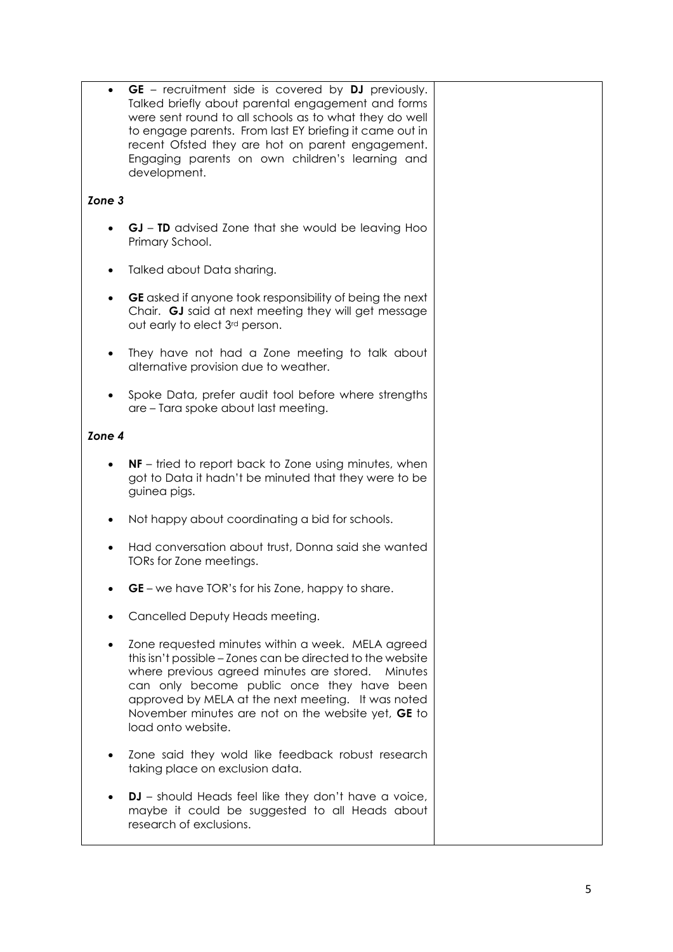|           | <b>GE</b> – recruitment side is covered by <b>DJ</b> previously.<br>Talked briefly about parental engagement and forms<br>were sent round to all schools as to what they do well<br>to engage parents. From last EY briefing it came out in<br>recent Ofsted they are hot on parent engagement.<br>Engaging parents on own children's learning and<br>development. |  |
|-----------|--------------------------------------------------------------------------------------------------------------------------------------------------------------------------------------------------------------------------------------------------------------------------------------------------------------------------------------------------------------------|--|
| Zone 3    |                                                                                                                                                                                                                                                                                                                                                                    |  |
|           | <b>GJ</b> – <b>TD</b> advised Zone that she would be leaving Hoo<br>Primary School.                                                                                                                                                                                                                                                                                |  |
|           | Talked about Data sharing.                                                                                                                                                                                                                                                                                                                                         |  |
| $\bullet$ | GE asked if anyone took responsibility of being the next<br>Chair. GJ said at next meeting they will get message<br>out early to elect 3rd person.                                                                                                                                                                                                                 |  |
|           | They have not had a Zone meeting to talk about<br>alternative provision due to weather.                                                                                                                                                                                                                                                                            |  |
|           | Spoke Data, prefer audit tool before where strengths<br>are – Tara spoke about last meeting.                                                                                                                                                                                                                                                                       |  |
| Zone 4    |                                                                                                                                                                                                                                                                                                                                                                    |  |
|           | <b>NF</b> – tried to report back to Zone using minutes, when<br>got to Data it hadn't be minuted that they were to be<br>guinea pigs.                                                                                                                                                                                                                              |  |
|           | Not happy about coordinating a bid for schools.                                                                                                                                                                                                                                                                                                                    |  |
|           | Had conversation about trust, Donna said she wanted<br>TORs for Zone meetings.                                                                                                                                                                                                                                                                                     |  |
|           | GE - we have TOR's for his Zone, happy to share.                                                                                                                                                                                                                                                                                                                   |  |
|           | Cancelled Deputy Heads meeting.                                                                                                                                                                                                                                                                                                                                    |  |
|           | Zone requested minutes within a week. MELA agreed<br>this isn't possible - Zones can be directed to the website<br>where previous agreed minutes are stored. Minutes<br>can only become public once they have been<br>approved by MELA at the next meeting. It was noted<br>November minutes are not on the website yet, GE to<br>load onto website.               |  |
|           | Zone said they wold like feedback robust research<br>taking place on exclusion data.                                                                                                                                                                                                                                                                               |  |
|           | <b>DJ</b> – should Heads feel like they don't have a voice,<br>maybe it could be suggested to all Heads about<br>research of exclusions.                                                                                                                                                                                                                           |  |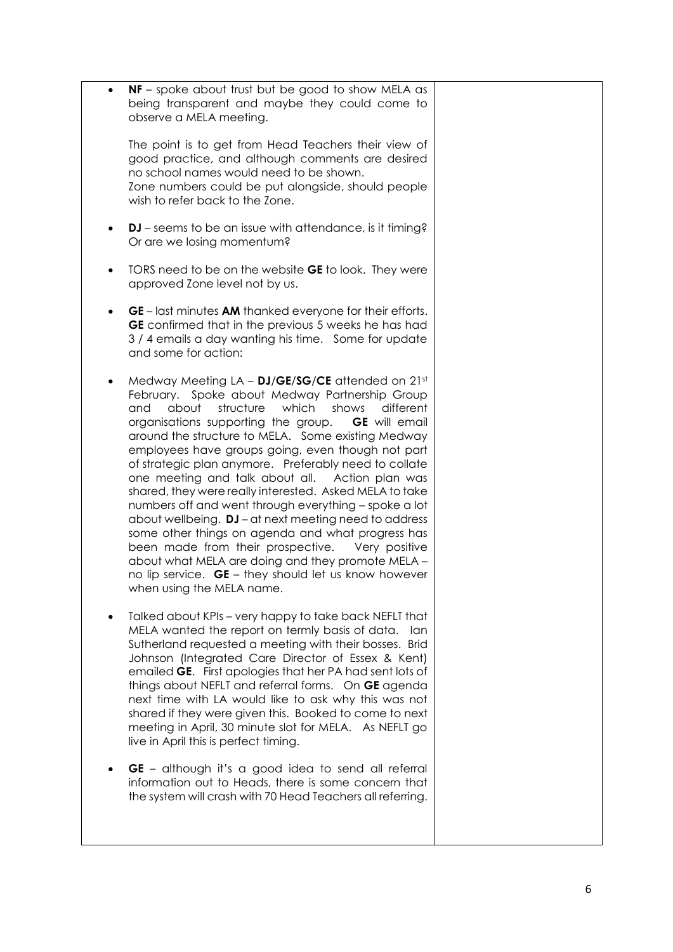| $\bullet$ | $NF$ – spoke about trust but be good to show MELA as<br>being transparent and maybe they could come to<br>observe a MELA meeting.                                                                                                                                                                                                                                                                                                                                                                                                                                                                                                                                                                                                                                                                                                                                                        |  |
|-----------|------------------------------------------------------------------------------------------------------------------------------------------------------------------------------------------------------------------------------------------------------------------------------------------------------------------------------------------------------------------------------------------------------------------------------------------------------------------------------------------------------------------------------------------------------------------------------------------------------------------------------------------------------------------------------------------------------------------------------------------------------------------------------------------------------------------------------------------------------------------------------------------|--|
|           | The point is to get from Head Teachers their view of<br>good practice, and although comments are desired<br>no school names would need to be shown.<br>Zone numbers could be put alongside, should people<br>wish to refer back to the Zone.                                                                                                                                                                                                                                                                                                                                                                                                                                                                                                                                                                                                                                             |  |
| $\bullet$ | <b>DJ</b> – seems to be an issue with attendance, is it timing?<br>Or are we losing momentum?                                                                                                                                                                                                                                                                                                                                                                                                                                                                                                                                                                                                                                                                                                                                                                                            |  |
| $\bullet$ | TORS need to be on the website <b>GE</b> to look. They were<br>approved Zone level not by us.                                                                                                                                                                                                                                                                                                                                                                                                                                                                                                                                                                                                                                                                                                                                                                                            |  |
| $\bullet$ | <b>GE</b> – last minutes <b>AM</b> thanked everyone for their efforts.<br>GE confirmed that in the previous 5 weeks he has had<br>3/4 emails a day wanting his time. Some for update<br>and some for action:                                                                                                                                                                                                                                                                                                                                                                                                                                                                                                                                                                                                                                                                             |  |
| $\bullet$ | Medway Meeting $LA - DJ/GE/SCE$ attended on $21st$<br>February. Spoke about Medway Partnership Group<br>structure<br>which<br>about<br>shows<br>different<br>and<br>organisations supporting the group.<br><b>GE</b> will email<br>around the structure to MELA. Some existing Medway<br>employees have groups going, even though not part<br>of strategic plan anymore. Preferably need to collate<br>one meeting and talk about all. Action plan was<br>shared, they were really interested. Asked MELA to take<br>numbers off and went through everything - spoke a lot<br>about wellbeing. DJ - at next meeting need to address<br>some other things on agenda and what progress has<br>been made from their prospective.<br>Very positive<br>about what MELA are doing and they promote MELA -<br>no lip service. GE - they should let us know however<br>when using the MELA name. |  |
| $\bullet$ | Talked about KPIs - very happy to take back NEFLT that<br>MELA wanted the report on termly basis of data.<br>lan<br>Sutherland requested a meeting with their bosses. Brid<br>Johnson (Integrated Care Director of Essex & Kent)<br>emailed GE. First apologies that her PA had sent lots of<br>things about NEFLT and referral forms. On GE agenda<br>next time with LA would like to ask why this was not<br>shared if they were given this. Booked to come to next<br>meeting in April, 30 minute slot for MELA. As NEFLT go<br>live in April this is perfect timing.                                                                                                                                                                                                                                                                                                                 |  |
|           | GE - although it's a good idea to send all referral<br>information out to Heads, there is some concern that<br>the system will crash with 70 Head Teachers all referring.                                                                                                                                                                                                                                                                                                                                                                                                                                                                                                                                                                                                                                                                                                                |  |
|           |                                                                                                                                                                                                                                                                                                                                                                                                                                                                                                                                                                                                                                                                                                                                                                                                                                                                                          |  |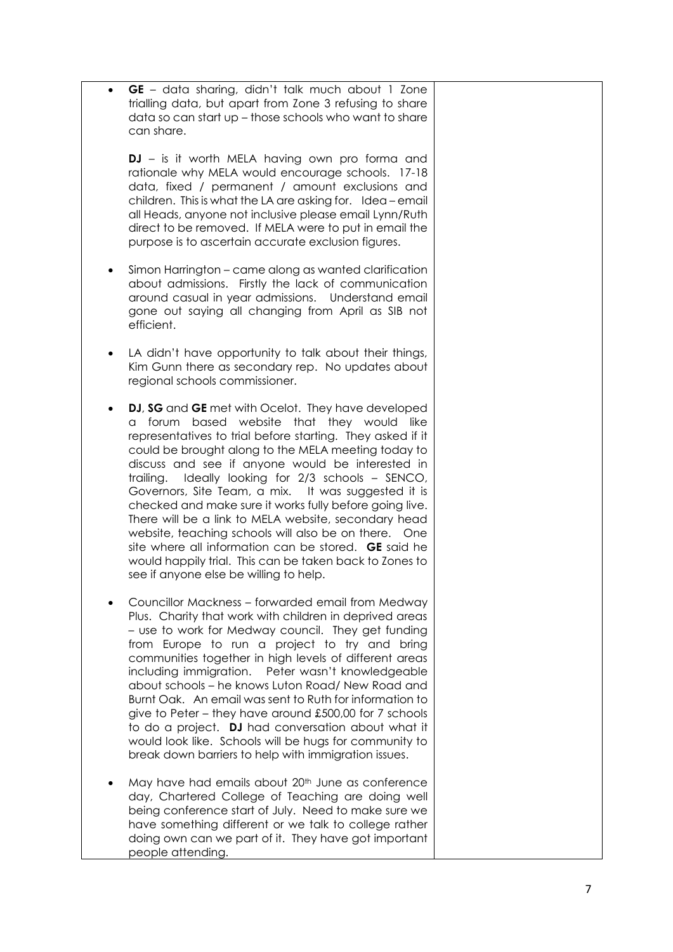**GE** – data sharing, didn't talk much about 1 Zone trialling data, but apart from Zone 3 refusing to share data so can start up – those schools who want to share can share.

**DJ**  – is it worth MELA having own pro forma and rationale why MELA would encourage schools. 17 -18 data, fixed / permanent / amount exclusions and children. This is what the LA are asking for. Idea – email all Heads, anyone not inclusive please email Lynn/Ruth direct to be removed. If MELA were to put in email the purpose is to ascertain accurate exclusion figures.

- Simon Harrington came along as wanted clarification about admissions. Firstly the lack of communication around casual in year admissions. Understand email gone out saying all changing from April as SIB not efficient.
- LA didn't have opportunity to talk about their things, Kim Gunn there as secondary rep. No updates about regional schools commissioner.
- **DJ**, **SG** and **GE** met with Ocelot. They have developed a forum based website that they would like representatives to trial before starting. They asked if it could be brought along to the MELA meeting today to discuss and see if anyone would be interested in trailing. Ideally looking for 2/3 schools – SENCO, Governors, Site Team, a mix. It was suggested it is checked and make sure it works fully before going live. There will be a link to MELA website, secondary head website, teaching schools will also be on there. One site where all information can be stored. **GE** said he would happily trial. This can be taken back to Zones to see if anyone else be willing to help.
- Councillor Mackness forwarded email from Medway Plus. Charity that work with children in deprived areas – use to work for Medway council. They get funding from Europe to run a project to try and bring communities together in high levels of different areas including immigration. Peter wasn't knowledgeable about schools – he knows Luton Road/ New Road and Burnt Oak. An email was sent to Ruth for information to give to Peter – they have around £500,00 for 7 schools to do a project. **DJ** had conversation about what it would look like. Schools will be hugs for community to break down barriers to help with immigration issues.
- May have had emails about 20<sup>th</sup> June as conference day, Chartered College of Teaching are doing well being conference start of July. Need to make sure we have something different or we talk to college rather doing own can we part of it. They have got important people attending.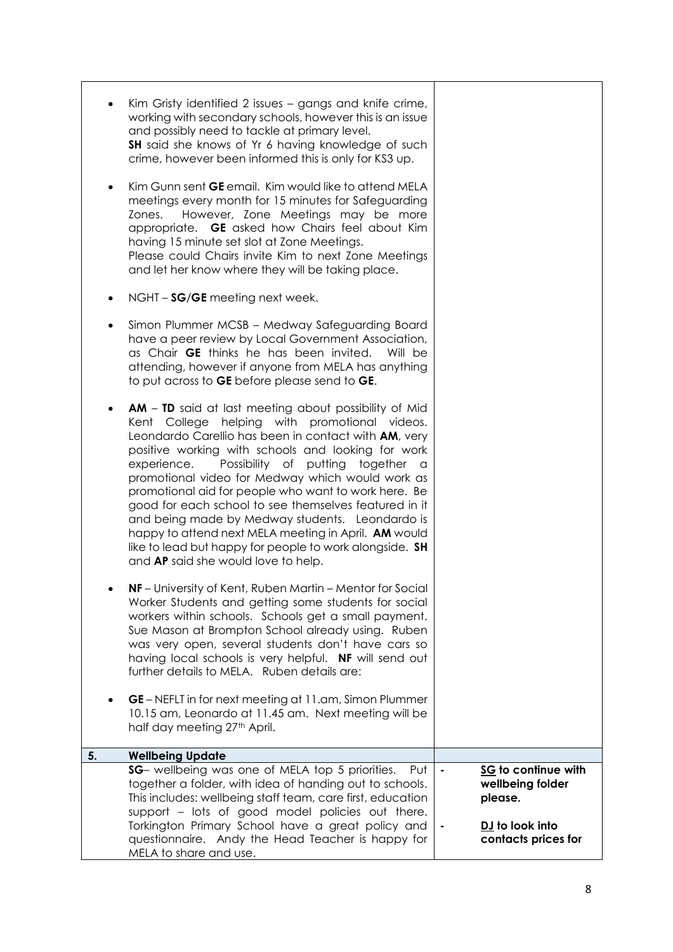| ٠<br>$\bullet$<br>٠ | Kim Gristy identified 2 issues - gangs and knife crime,<br>working with secondary schools, however this is an issue<br>and possibly need to tackle at primary level.<br>SH said she knows of Yr 6 having knowledge of such<br>crime, however been informed this is only for KS3 up.<br>Kim Gunn sent <b>GE</b> email. Kim would like to attend MELA<br>meetings every month for 15 minutes for Safeguarding<br>However, Zone Meetings may be more<br>Zones.<br>appropriate. GE asked how Chairs feel about Kim<br>having 15 minute set slot at Zone Meetings.<br>Please could Chairs invite Kim to next Zone Meetings<br>and let her know where they will be taking place.<br>NGHT - SG/GE meeting next week. |                |                                                                                              |
|---------------------|---------------------------------------------------------------------------------------------------------------------------------------------------------------------------------------------------------------------------------------------------------------------------------------------------------------------------------------------------------------------------------------------------------------------------------------------------------------------------------------------------------------------------------------------------------------------------------------------------------------------------------------------------------------------------------------------------------------|----------------|----------------------------------------------------------------------------------------------|
|                     | Simon Plummer MCSB - Medway Safeguarding Board<br>have a peer review by Local Government Association,<br>as Chair <b>GE</b> thinks he has been invited.<br>Will be<br>attending, however if anyone from MELA has anything<br>to put across to GE before please send to GE.                                                                                                                                                                                                                                                                                                                                                                                                                                    |                |                                                                                              |
| ٠                   | <b>AM</b> - <b>TD</b> said at last meeting about possibility of Mid<br>Kent College helping with promotional videos.<br>Leondardo Carellio has been in contact with AM, very<br>positive working with schools and looking for work<br>experience.<br>Possibility of<br>putting<br>together a<br>promotional video for Medway which would work as<br>promotional aid for people who want to work here. Be<br>good for each school to see themselves featured in it<br>and being made by Medway students. Leondardo is<br>happy to attend next MELA meeting in April. AM would<br>like to lead but happy for people to work alongside. SH<br>and AP said she would love to help.                                |                |                                                                                              |
|                     | NF-University of Kent, Ruben Martin - Mentor for Social<br>Worker Students and getting some students for social<br>workers within schools. Schools get a small payment.<br>Sue Mason at Brompton School already using. Ruben<br>was very open, several students don't have cars so<br>having local schools is very helpful. NF will send out<br>further details to MELA. Ruben details are:<br>GE – NEFLT in for next meeting at 11.am, Simon Plummer                                                                                                                                                                                                                                                         |                |                                                                                              |
|                     | 10.15 am, Leonardo at 11.45 am. Next meeting will be<br>half day meeting 27th April.                                                                                                                                                                                                                                                                                                                                                                                                                                                                                                                                                                                                                          |                |                                                                                              |
| 5.                  | <b>Wellbeing Update</b>                                                                                                                                                                                                                                                                                                                                                                                                                                                                                                                                                                                                                                                                                       |                |                                                                                              |
|                     | SG- wellbeing was one of MELA top 5 priorities.<br>Put<br>together a folder, with idea of handing out to schools.<br>This includes: wellbeing staff team, care first, education<br>support - lots of good model policies out there.<br>Torkington Primary School have a great policy and<br>questionnaire. Andy the Head Teacher is happy for                                                                                                                                                                                                                                                                                                                                                                 | $\blacksquare$ | SG to continue with<br>wellbeing folder<br>please.<br>DJ to look into<br>contacts prices for |
|                     | MELA to share and use.                                                                                                                                                                                                                                                                                                                                                                                                                                                                                                                                                                                                                                                                                        |                |                                                                                              |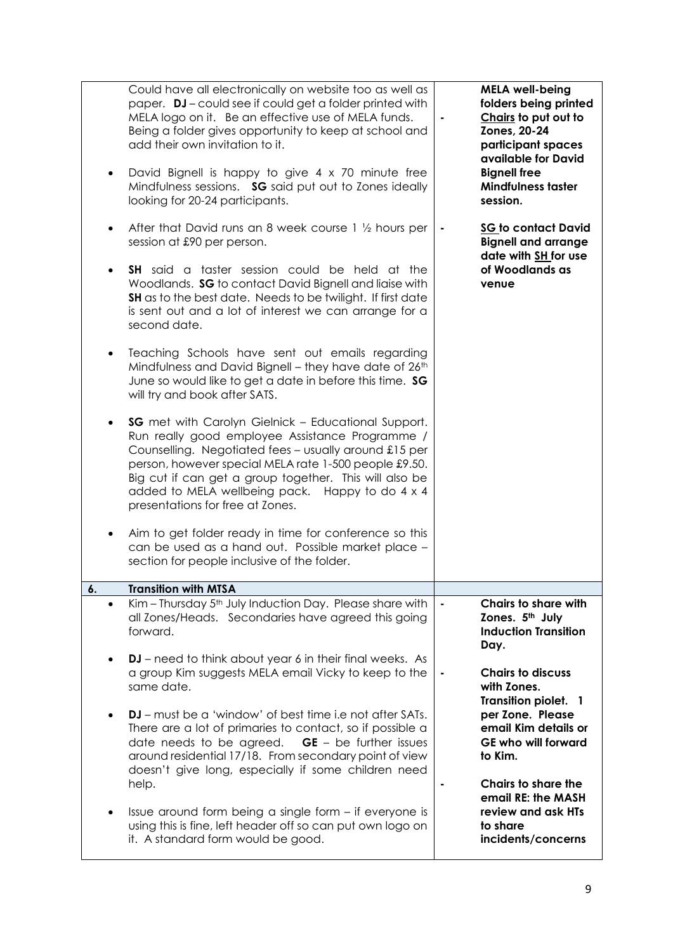| $\bullet$<br>$\bullet$ | Could have all electronically on website too as well as<br>paper. DJ-could see if could get a folder printed with<br>MELA logo on it. Be an effective use of MELA funds.<br>Being a folder gives opportunity to keep at school and<br>add their own invitation to it.<br>David Bignell is happy to give 4 x 70 minute free<br>Mindfulness sessions. SG said put out to Zones ideally<br>looking for 20-24 participants.<br>After that David runs an 8 week course 1 1/2 hours per<br>session at £90 per person.<br><b>SH</b> said a taster session could be held at the<br>Woodlands. SG to contact David Bignell and liaise with<br>SH as to the best date. Needs to be twilight. If first date<br>is sent out and a lot of interest we can arrange for a<br>second date.<br>Teaching Schools have sent out emails regarding<br>Mindfulness and David Bignell - they have date of 26th<br>June so would like to get a date in before this time. SG<br>will try and book after SATS.<br><b>SG</b> met with Carolyn Gielnick - Educational Support.<br>Run really good employee Assistance Programme /<br>Counselling. Negotiated fees - usually around £15 per<br>person, however special MELA rate 1-500 people £9.50.<br>Big cut if can get a group together. This will also be<br>added to MELA wellbeing pack. Happy to do 4 x 4<br>presentations for free at Zones.<br>Aim to get folder ready in time for conference so this<br>can be used as a hand out. Possible market place -<br>section for people inclusive of the folder. | <b>MELA well-being</b><br>folders being printed<br>Chairs to put out to<br>Zones, 20-24<br>participant spaces<br>available for David<br><b>Bignell free</b><br><b>Mindfulness taster</b><br>session.<br><b>SG to contact David</b><br><b>Bignell and arrange</b><br>date with SH for use<br>of Woodlands as<br>venue |
|------------------------|-----------------------------------------------------------------------------------------------------------------------------------------------------------------------------------------------------------------------------------------------------------------------------------------------------------------------------------------------------------------------------------------------------------------------------------------------------------------------------------------------------------------------------------------------------------------------------------------------------------------------------------------------------------------------------------------------------------------------------------------------------------------------------------------------------------------------------------------------------------------------------------------------------------------------------------------------------------------------------------------------------------------------------------------------------------------------------------------------------------------------------------------------------------------------------------------------------------------------------------------------------------------------------------------------------------------------------------------------------------------------------------------------------------------------------------------------------------------------------------------------------------------------------------------|----------------------------------------------------------------------------------------------------------------------------------------------------------------------------------------------------------------------------------------------------------------------------------------------------------------------|
| 6.                     | <b>Transition with MTSA</b>                                                                                                                                                                                                                                                                                                                                                                                                                                                                                                                                                                                                                                                                                                                                                                                                                                                                                                                                                                                                                                                                                                                                                                                                                                                                                                                                                                                                                                                                                                             |                                                                                                                                                                                                                                                                                                                      |
| $\bullet$              | Kim - Thursday 5 <sup>th</sup> July Induction Day. Please share with<br>all Zones/Heads. Secondaries have agreed this going<br>forward.<br><b>DJ</b> – need to think about year 6 in their final weeks. As                                                                                                                                                                                                                                                                                                                                                                                                                                                                                                                                                                                                                                                                                                                                                                                                                                                                                                                                                                                                                                                                                                                                                                                                                                                                                                                              | <b>Chairs to share with</b><br>Zones. 5th July<br><b>Induction Transition</b><br>Day.                                                                                                                                                                                                                                |
|                        | a group Kim suggests MELA email Vicky to keep to the<br>same date.                                                                                                                                                                                                                                                                                                                                                                                                                                                                                                                                                                                                                                                                                                                                                                                                                                                                                                                                                                                                                                                                                                                                                                                                                                                                                                                                                                                                                                                                      | <b>Chairs to discuss</b><br>with Zones.<br><b>Transition piolet. 1</b>                                                                                                                                                                                                                                               |
|                        | DJ – must be a 'window' of best time i.e not after SATs.<br>There are a lot of primaries to contact, so if possible a<br>$GE - be$ further issues<br>date needs to be agreed.<br>around residential 17/18. From secondary point of view<br>doesn't give long, especially if some children need                                                                                                                                                                                                                                                                                                                                                                                                                                                                                                                                                                                                                                                                                                                                                                                                                                                                                                                                                                                                                                                                                                                                                                                                                                          | per Zone. Please<br>email Kim details or<br><b>GE who will forward</b><br>to Kim.                                                                                                                                                                                                                                    |
|                        | help.                                                                                                                                                                                                                                                                                                                                                                                                                                                                                                                                                                                                                                                                                                                                                                                                                                                                                                                                                                                                                                                                                                                                                                                                                                                                                                                                                                                                                                                                                                                                   | Chairs to share the                                                                                                                                                                                                                                                                                                  |
| $\bullet$              | Issue around form being a single form – if everyone is<br>using this is fine, left header off so can put own logo on<br>it. A standard form would be good.                                                                                                                                                                                                                                                                                                                                                                                                                                                                                                                                                                                                                                                                                                                                                                                                                                                                                                                                                                                                                                                                                                                                                                                                                                                                                                                                                                              | email RE: the MASH<br>review and ask HTs<br>to share<br>incidents/concerns                                                                                                                                                                                                                                           |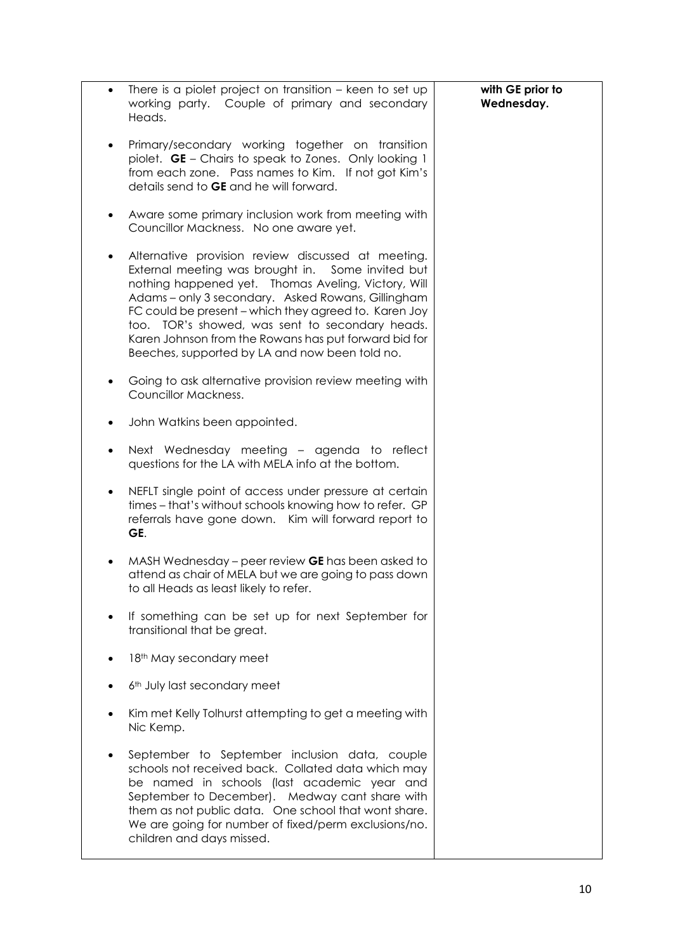| $\bullet$ | There is a piolet project on transition – keen to set up<br>working party. Couple of primary and secondary<br>Heads.                                                                                                                                                                                                                                                                                                                        | with GE prior to<br>Wednesday. |
|-----------|---------------------------------------------------------------------------------------------------------------------------------------------------------------------------------------------------------------------------------------------------------------------------------------------------------------------------------------------------------------------------------------------------------------------------------------------|--------------------------------|
|           | Primary/secondary working together on transition<br>piolet. GE - Chairs to speak to Zones. Only looking 1<br>from each zone. Pass names to Kim. If not got Kim's<br>details send to GE and he will forward.                                                                                                                                                                                                                                 |                                |
|           | Aware some primary inclusion work from meeting with<br>Councillor Mackness. No one aware yet.                                                                                                                                                                                                                                                                                                                                               |                                |
| ٠         | Alternative provision review discussed at meeting.<br>External meeting was brought in. Some invited but<br>nothing happened yet. Thomas Aveling, Victory, Will<br>Adams - only 3 secondary. Asked Rowans, Gillingham<br>FC could be present – which they agreed to. Karen Joy<br>too. TOR's showed, was sent to secondary heads.<br>Karen Johnson from the Rowans has put forward bid for<br>Beeches, supported by LA and now been told no. |                                |
| ٠         | Going to ask alternative provision review meeting with<br>Councillor Mackness.                                                                                                                                                                                                                                                                                                                                                              |                                |
| ٠         | John Watkins been appointed.                                                                                                                                                                                                                                                                                                                                                                                                                |                                |
| ٠         | Next Wednesday meeting - agenda to reflect<br>questions for the LA with MELA info at the bottom.                                                                                                                                                                                                                                                                                                                                            |                                |
| ٠         | NEFLT single point of access under pressure at certain<br>times - that's without schools knowing how to refer. GP<br>referrals have gone down. Kim will forward report to<br>GE.                                                                                                                                                                                                                                                            |                                |
|           | MASH Wednesday – peer review GE has been asked to<br>attend as chair of MELA but we are going to pass down<br>to all Heads as least likely to refer.                                                                                                                                                                                                                                                                                        |                                |
|           | If something can be set up for next September for<br>transitional that be great.                                                                                                                                                                                                                                                                                                                                                            |                                |
|           | 18 <sup>th</sup> May secondary meet                                                                                                                                                                                                                                                                                                                                                                                                         |                                |
|           | 6th July last secondary meet                                                                                                                                                                                                                                                                                                                                                                                                                |                                |
|           | Kim met Kelly Tolhurst attempting to get a meeting with<br>Nic Kemp.                                                                                                                                                                                                                                                                                                                                                                        |                                |
|           | September to September inclusion data, couple<br>schools not received back. Collated data which may<br>be named in schools (last academic year and<br>September to December). Medway cant share with<br>them as not public data. One school that wont share.<br>We are going for number of fixed/perm exclusions/no.<br>children and days missed.                                                                                           |                                |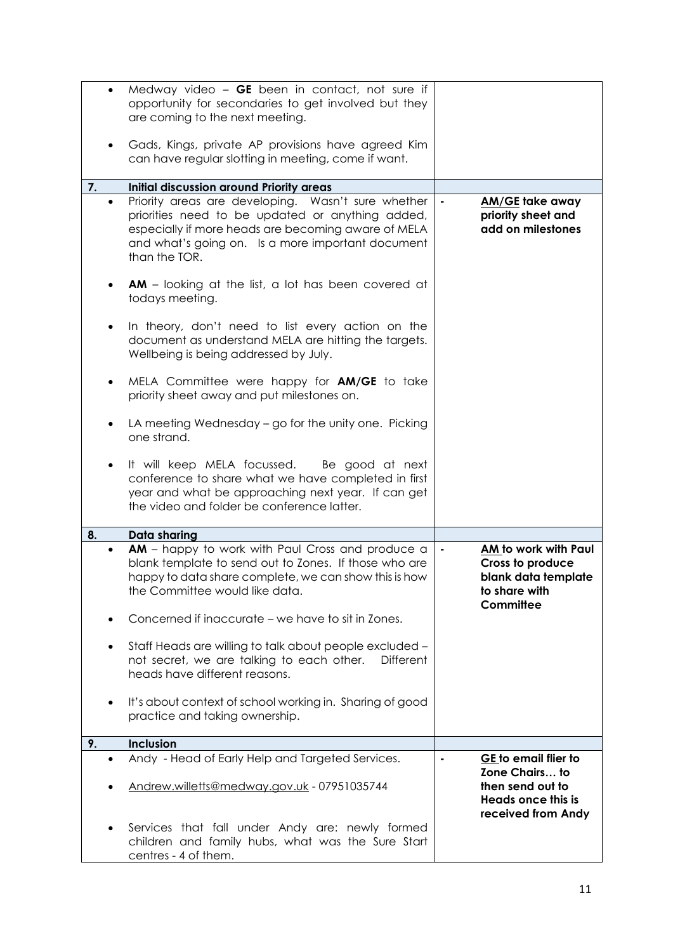|    | $\bullet$ | Medway video $-$ GE been in contact, not sure if<br>opportunity for secondaries to get involved but they<br>are coming to the next meeting.<br>Gads, Kings, private AP provisions have agreed Kim<br>can have regular slotting in meeting, come if want.   |                |                                                                                                               |
|----|-----------|------------------------------------------------------------------------------------------------------------------------------------------------------------------------------------------------------------------------------------------------------------|----------------|---------------------------------------------------------------------------------------------------------------|
| 7. |           | Initial discussion around Priority areas                                                                                                                                                                                                                   |                |                                                                                                               |
|    | $\bullet$ | Priority areas are developing. Wasn't sure whether<br>priorities need to be updated or anything added,<br>especially if more heads are becoming aware of MELA<br>and what's going on. Is a more important document<br>than the TOR.                        | ٠              | <b>AM/GE</b> take away<br>priority sheet and<br>add on milestones                                             |
|    | $\bullet$ | <b>AM</b> – looking at the list, a lot has been covered at<br>todays meeting.                                                                                                                                                                              |                |                                                                                                               |
|    | $\bullet$ | In theory, don't need to list every action on the<br>document as understand MELA are hitting the targets.<br>Wellbeing is being addressed by July.                                                                                                         |                |                                                                                                               |
|    | $\bullet$ | MELA Committee were happy for <b>AM/GE</b> to take<br>priority sheet away and put milestones on.                                                                                                                                                           |                |                                                                                                               |
|    |           | LA meeting Wednesday – go for the unity one. Picking<br>one strand.                                                                                                                                                                                        |                |                                                                                                               |
|    |           | It will keep MELA focussed. Be good at next<br>conference to share what we have completed in first<br>year and what be approaching next year. If can get<br>the video and folder be conference latter.                                                     |                |                                                                                                               |
| 8. |           | Data sharing                                                                                                                                                                                                                                               |                |                                                                                                               |
|    | $\bullet$ | AM - happy to work with Paul Cross and produce a<br>blank template to send out to Zones. If those who are<br>happy to data share complete, we can show this is how<br>the Committee would like data.<br>Concerned if inaccurate – we have to sit in Zones. | $\blacksquare$ | AM to work with Paul<br>Cross to produce<br>blank data template<br>to share with<br>Committee                 |
|    | $\bullet$ | Staff Heads are willing to talk about people excluded -<br>not secret, we are talking to each other.<br>Different<br>heads have different reasons.                                                                                                         |                |                                                                                                               |
|    | $\bullet$ | It's about context of school working in. Sharing of good<br>practice and taking ownership.                                                                                                                                                                 |                |                                                                                                               |
| 9. |           | Inclusion                                                                                                                                                                                                                                                  |                |                                                                                                               |
|    | $\bullet$ | Andy - Head of Early Help and Targeted Services.<br>Andrew.willetts@medway.gov.uk - 07951035744                                                                                                                                                            |                | GE to email flier to<br>Zone Chairs to<br>then send out to<br><b>Heads once this is</b><br>received from Andy |
|    |           | Services that fall under Andy are: newly formed<br>children and family hubs, what was the Sure Start<br>centres - 4 of them.                                                                                                                               |                |                                                                                                               |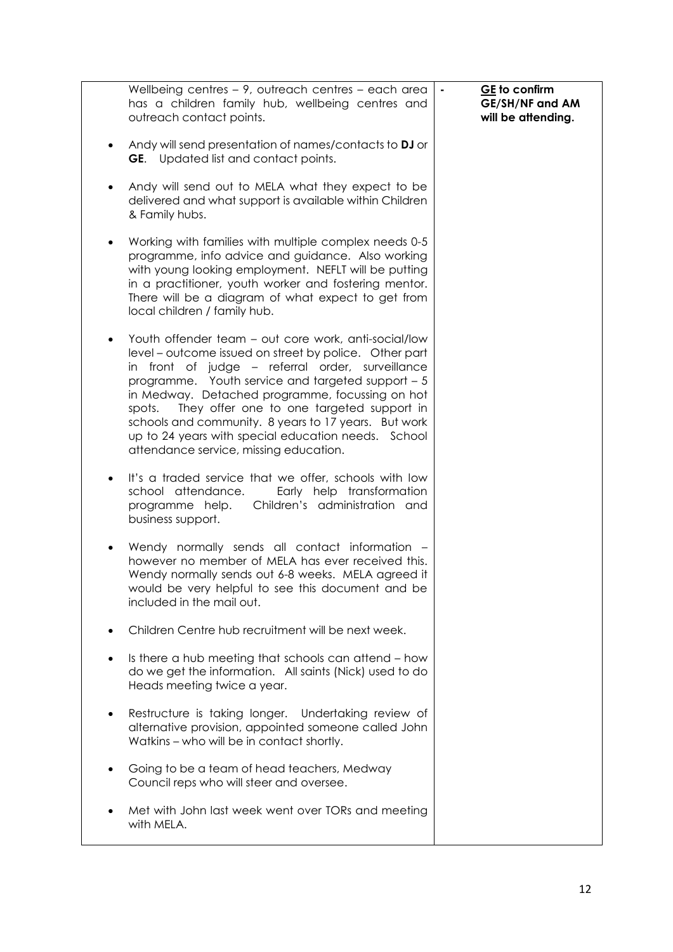|           | Wellbeing centres - 9, outreach centres - each area<br>has a children family hub, wellbeing centres and<br>outreach contact points.                                                                                                                                                                                                                                                                                                                                                        | $\blacksquare$ | GE to confirm<br><b>GE/SH/NF and AM</b><br>will be attending. |
|-----------|--------------------------------------------------------------------------------------------------------------------------------------------------------------------------------------------------------------------------------------------------------------------------------------------------------------------------------------------------------------------------------------------------------------------------------------------------------------------------------------------|----------------|---------------------------------------------------------------|
| $\bullet$ | Andy will send presentation of names/contacts to DJ or<br><b>GE.</b> Updated list and contact points.                                                                                                                                                                                                                                                                                                                                                                                      |                |                                                               |
|           | Andy will send out to MELA what they expect to be<br>delivered and what support is available within Children<br>& Family hubs.                                                                                                                                                                                                                                                                                                                                                             |                |                                                               |
| $\bullet$ | Working with families with multiple complex needs 0-5<br>programme, info advice and guidance. Also working<br>with young looking employment. NEFLT will be putting<br>in a practitioner, youth worker and fostering mentor.<br>There will be a diagram of what expect to get from<br>local children / family hub.                                                                                                                                                                          |                |                                                               |
|           | Youth offender team – out core work, anti-social/low<br>level – outcome issued on street by police. Other part<br>in front of judge – referral order, surveillance<br>programme. Youth service and targeted support - 5<br>in Medway. Detached programme, focussing on hot<br>They offer one to one targeted support in<br>spots.<br>schools and community. 8 years to 17 years. But work<br>up to 24 years with special education needs. School<br>attendance service, missing education. |                |                                                               |
| $\bullet$ | It's a traded service that we offer, schools with low<br>school attendance.<br>Early help transformation<br>Children's administration and<br>programme help.<br>business support.                                                                                                                                                                                                                                                                                                          |                |                                                               |
|           | Wendy normally sends all contact information -<br>however no member of MELA has ever received this.<br>Wendy normally sends out 6-8 weeks. MELA agreed it<br>would be very helpful to see this document and be<br>included in the mail out.                                                                                                                                                                                                                                                |                |                                                               |
|           | Children Centre hub recruitment will be next week.                                                                                                                                                                                                                                                                                                                                                                                                                                         |                |                                                               |
|           | Is there a hub meeting that schools can attend - how<br>do we get the information. All saints (Nick) used to do<br>Heads meeting twice a year.                                                                                                                                                                                                                                                                                                                                             |                |                                                               |
| ٠         | Restructure is taking longer. Undertaking review of<br>alternative provision, appointed someone called John<br>Watkins - who will be in contact shortly.                                                                                                                                                                                                                                                                                                                                   |                |                                                               |
|           | Going to be a team of head teachers, Medway<br>Council reps who will steer and oversee.                                                                                                                                                                                                                                                                                                                                                                                                    |                |                                                               |
|           | Met with John last week went over TORs and meeting<br>with MELA.                                                                                                                                                                                                                                                                                                                                                                                                                           |                |                                                               |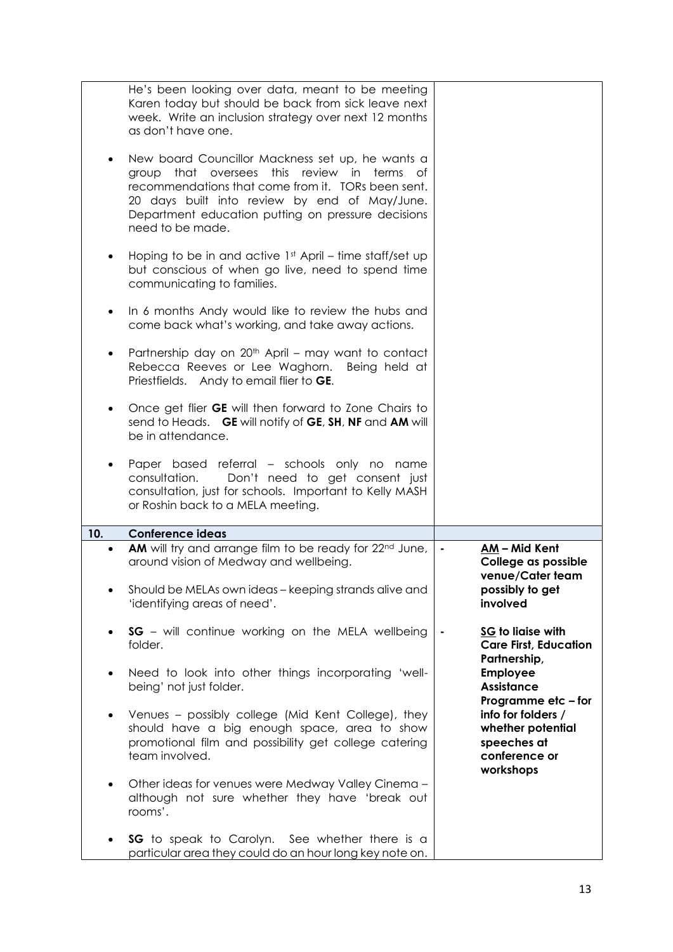|           | He's been looking over data, meant to be meeting<br>Karen today but should be back from sick leave next<br>week. Write an inclusion strategy over next 12 months<br>as don't have one.                                                                                                    |                |                                                                                      |
|-----------|-------------------------------------------------------------------------------------------------------------------------------------------------------------------------------------------------------------------------------------------------------------------------------------------|----------------|--------------------------------------------------------------------------------------|
|           | New board Councillor Mackness set up, he wants a<br>this<br>group that oversees<br>review in<br>terms of<br>recommendations that come from it. TORs been sent.<br>20 days built into review by end of May/June.<br>Department education putting on pressure decisions<br>need to be made. |                |                                                                                      |
|           | Hoping to be in and active $1st$ April – time staff/set up<br>but conscious of when go live, need to spend time<br>communicating to families.                                                                                                                                             |                |                                                                                      |
| $\bullet$ | In 6 months Andy would like to review the hubs and<br>come back what's working, and take away actions.                                                                                                                                                                                    |                |                                                                                      |
|           | Partnership day on 20 <sup>th</sup> April – may want to contact<br>Rebecca Reeves or Lee Waghorn. Being held at<br>Priestfields. Andy to email flier to GE.                                                                                                                               |                |                                                                                      |
|           | Once get flier GE will then forward to Zone Chairs to<br>send to Heads. GE will notify of GE, SH, NF and AM will<br>be in attendance.                                                                                                                                                     |                |                                                                                      |
|           | Paper based referral – schools only no name<br>Don't need to get consent just<br>consultation.<br>consultation, just for schools. Important to Kelly MASH<br>or Roshin back to a MELA meeting.                                                                                            |                |                                                                                      |
| 10.       | <b>Conference ideas</b>                                                                                                                                                                                                                                                                   |                |                                                                                      |
|           | AM will try and arrange film to be ready for 22 <sup>nd</sup> June,<br>around vision of Medway and wellbeing.<br>Should be MELAs own ideas - keeping strands alive and                                                                                                                    | $\blacksquare$ | AM-Mid Kent<br>College as possible<br>venue/Cater team<br>possibly to get            |
|           | 'identifying areas of need'.                                                                                                                                                                                                                                                              |                | involved                                                                             |
|           | SG - will continue working on the MELA wellbeing<br>folder.                                                                                                                                                                                                                               |                | SG to liaise with<br><b>Care First, Education</b><br>Partnership,                    |
|           | Need to look into other things incorporating 'well-<br>being' not just folder.                                                                                                                                                                                                            |                | <b>Employee</b><br><b>Assistance</b><br>Programme etc - for                          |
|           | Venues - possibly college (Mid Kent College), they<br>should have a big enough space, area to show<br>promotional film and possibility get college catering<br>team involved.                                                                                                             |                | info for folders /<br>whether potential<br>speeches at<br>conference or<br>workshops |
| $\bullet$ | Other ideas for venues were Medway Valley Cinema -<br>although not sure whether they have 'break out<br>rooms'.                                                                                                                                                                           |                |                                                                                      |
|           | SG to speak to Carolyn. See whether there is a<br>particular area they could do an hour long key note on.                                                                                                                                                                                 |                |                                                                                      |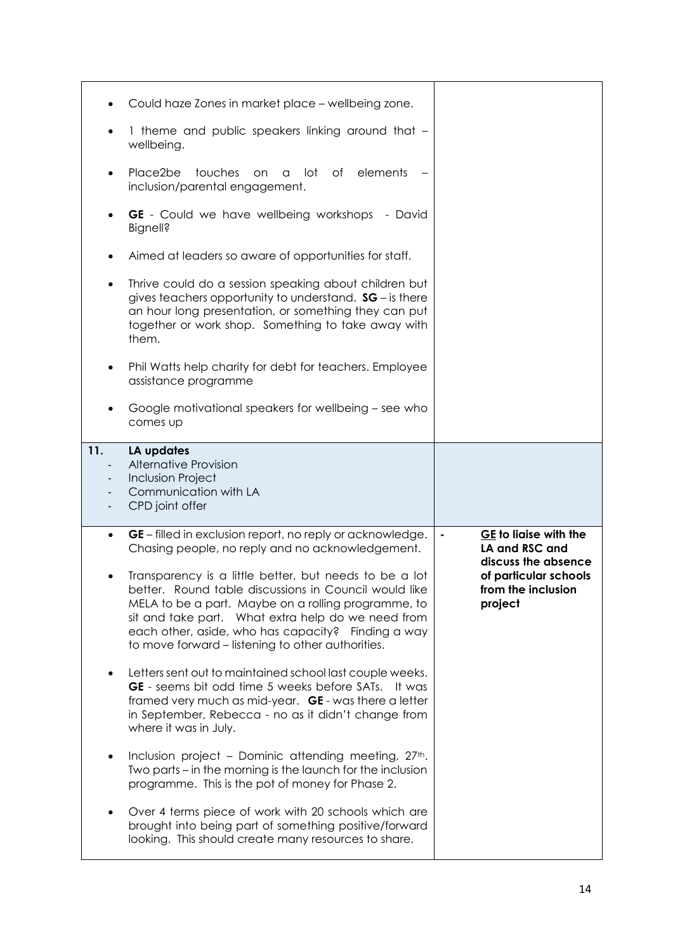|                                 | Could haze Zones in market place - wellbeing zone.                                                                                                                                                                                                                                                                                      |                                                                               |
|---------------------------------|-----------------------------------------------------------------------------------------------------------------------------------------------------------------------------------------------------------------------------------------------------------------------------------------------------------------------------------------|-------------------------------------------------------------------------------|
|                                 | 1 theme and public speakers linking around that -<br>wellbeing.                                                                                                                                                                                                                                                                         |                                                                               |
|                                 | Place2be<br>touches<br>lot<br>of elements<br>on.<br>a<br>inclusion/parental engagement.                                                                                                                                                                                                                                                 |                                                                               |
|                                 | <b>GE</b> - Could we have wellbeing workshops<br>- David<br><b>Bignell?</b>                                                                                                                                                                                                                                                             |                                                                               |
|                                 | Aimed at leaders so aware of opportunities for staff.                                                                                                                                                                                                                                                                                   |                                                                               |
| $\bullet$                       | Thrive could do a session speaking about children but<br>gives teachers opportunity to understand. $SG$ – is there<br>an hour long presentation, or something they can put<br>together or work shop. Something to take away with<br>them.                                                                                               |                                                                               |
| $\bullet$                       | Phil Watts help charity for debt for teachers. Employee<br>assistance programme                                                                                                                                                                                                                                                         |                                                                               |
|                                 | Google motivational speakers for wellbeing – see who<br>comes up                                                                                                                                                                                                                                                                        |                                                                               |
| 11.<br>$\overline{\phantom{a}}$ | LA updates<br><b>Alternative Provision</b>                                                                                                                                                                                                                                                                                              |                                                                               |
| $\overline{\phantom{m}}$        | <b>Inclusion Project</b><br>Communication with LA<br>CPD joint offer                                                                                                                                                                                                                                                                    |                                                                               |
| $\bullet$                       | GE – filled in exclusion report, no reply or acknowledge.<br>Chasing people, no reply and no acknowledgement.                                                                                                                                                                                                                           | GE to liaise with the<br>$\blacksquare$<br>LA and RSC and                     |
| ٠                               | Transparency is a little better, but needs to be a lot<br>better. Round table discussions in Council would like<br>MELA to be a part. Maybe on a rolling programme, to<br>sit and take part. What extra help do we need from<br>each other, aside, who has capacity? Finding a way<br>to move forward – listening to other authorities. | discuss the absence<br>of particular schools<br>from the inclusion<br>project |
|                                 | Letters sent out to maintained school last couple weeks.<br><b>GE</b> - seems bit odd time 5 weeks before SATs.<br>lt was<br>framed very much as mid-year. GE - was there a letter<br>in September, Rebecca - no as it didn't change from<br>where it was in July.                                                                      |                                                                               |
|                                 | Inclusion project - Dominic attending meeting, 27th.<br>Two parts – in the morning is the launch for the inclusion<br>programme. This is the pot of money for Phase 2.                                                                                                                                                                  |                                                                               |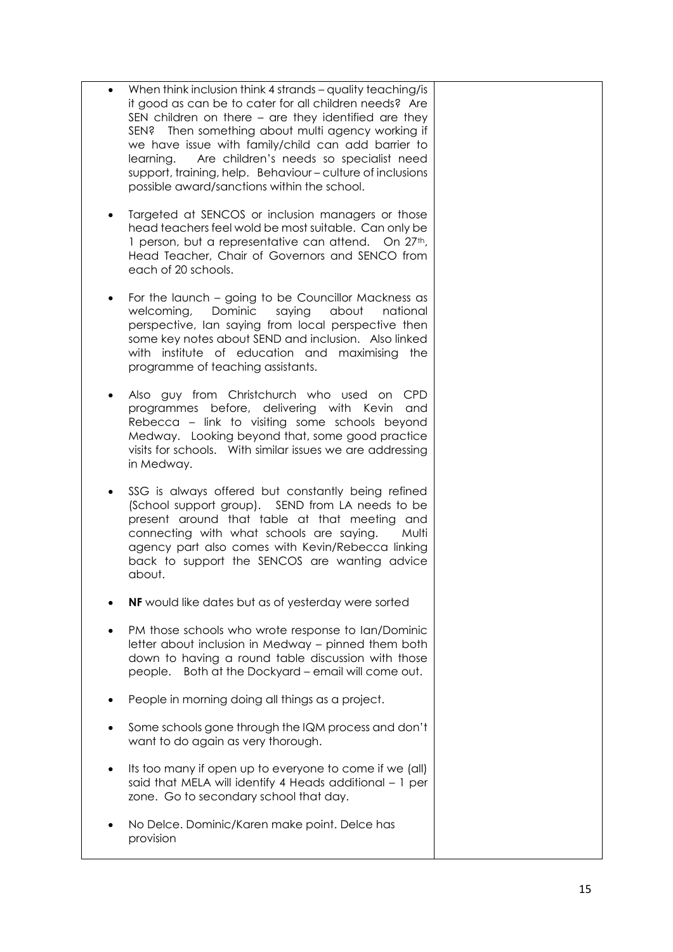- When think inclusion think 4 strands quality teaching/is it good as can be to cater for all children needs? Are SEN children on there – are they identified are they SEN? Then something about multi agency working if we have issue with family/child can add barrier to learning. Are children's needs so specialist need support, training, help. Behaviour – culture of inclusions possible award/sanctions within the school.
- Targeted at SENCOS or inclusion managers or those head teachers feel wold be most suitable. Can only be 1 person, but a representative can attend. On 27<sup>th</sup>, Head Teacher, Chair of Governors and SENCO from each of 20 schools.
- For the launch going to be Councillor Mackness as welcoming, Dominic saying about national perspective, Ian saying from local perspective then some key notes about SEND and inclusion. Also linked with institute of education and maximising the programme of teaching assistants.
- Also guy from Christchurch who used on CPD programmes before, delivering with Kevin and Rebecca – link to visiting some schools beyond Medway. Looking beyond that, some good practice visits for schools. With similar issues we are addressing in Medway.
- SSG is always offered but constantly being refined (School support group). SEND from LA needs to be present around that table at that meeting and connecting with what schools are saying. Multi agency part also comes with Kevin/Rebecca linking back to support the SENCOS are wanting advice about.
- **NF** would like dates but as of yesterday were sorted
- PM those schools who wrote response to Ian/Dominic letter about inclusion in Medway – pinned them both down to having a round table discussion with those people. Both at the Dockyard – email will come out.
- People in morning doing all things as a project.
- Some schools gone through the IQM process and don't want to do again as very thorough.
- Its too many if open up to everyone to come if we (all) said that MELA will identify 4 Heads additional – 1 per zone. Go to secondary school that day.
- No Delce. Dominic/Karen make point. Delce has provision